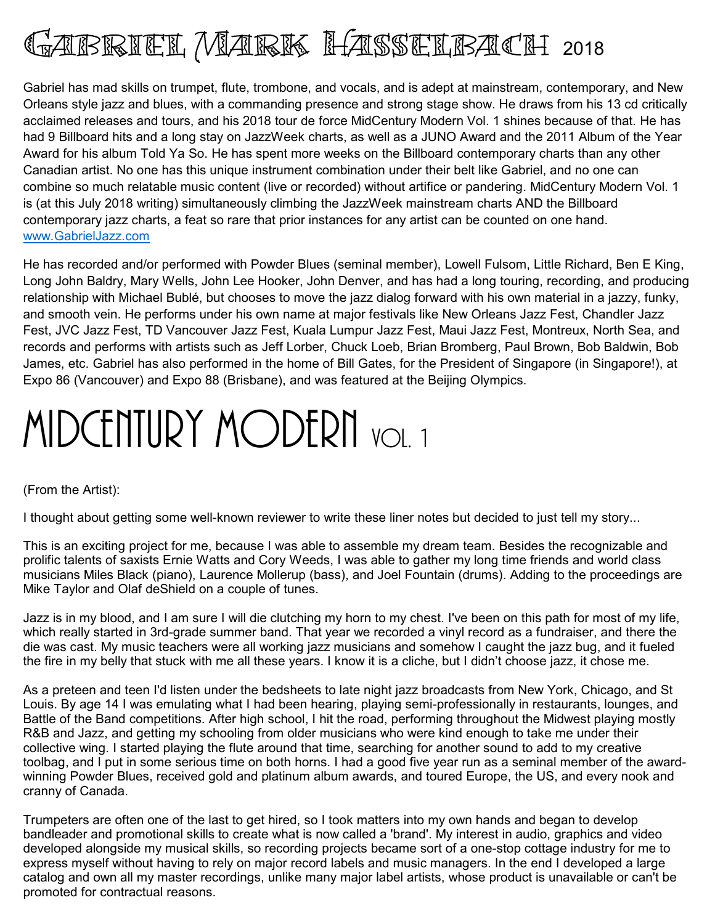## GABRIEL MARK HASSELBACH 2018

Gabriel has mad skills on trumpet, flute, trombone, and vocals, and is adept at mainstream, contemporary, and New Orleans style jazz and blues, with a commanding presence and strong stage show. He draws from his 13 cd critically acclaimed releases and tours, and his 2018 tour de force MidCentury Modern Vol. 1 shines because of that. He has had 9 Billboard hits and a long stay on JazzWeek charts, as well as a JUNO Award and the 2011 Album of the Year Award for his album Told Ya So. He has spent more weeks on the Billboard contemporary charts than any other Canadian artist. No one has this unique instrument combination under their belt like Gabriel, and no one can combine so much relatable music content (live or recorded) without artifice or pandering. MidCentury Modern Vol. 1 is (at this July 2018 writing) simultaneously climbing the JazzWeek mainstream charts AND the Billboard contemporary jazz charts, a feat so rare that prior instances for any artist can be counted on one hand. www.GabrielJazz.com

He has recorded and/or performed with Powder Blues (seminal member), Lowell Fulsom, Little Richard, Ben E King, Long John Baldry, Mary Wells, John Lee Hooker, John Denver, and has had a long touring, recording, and producing relationship with Michael Bublé, but chooses to move the jazz dialog forward with his own material in a jazzy, funky, and smooth vein. He performs under his own name at major festivals like New Orleans Jazz Fest, Chandler Jazz Fest, JVC Jazz Fest, TD Vancouver Jazz Fest, Kuala Lumpur Jazz Fest, Maui Jazz Fest, Montreux, North Sea, and records and performs with artists such as Jeff Lorber, Chuck Loeb, Brian Bromberg, Paul Brown, Bob Baldwin, Bob James, etc. Gabriel has also performed in the home of Bill Gates, for the President of Singapore (in Singapore!), at Expo 86 (Vancouver) and Expo 88 (Brisbane), and was featured at the Beijing Olympics.

## MIDCENTURY MODERN VOL. 1

(From the Artist):

I thought about getting some well-known reviewer to write these liner notes but decided to just tell my story...

This is an exciting project for me, because I was able to assemble my dream team. Besides the recognizable and prolific talents of saxists Ernie Watts and Cory Weeds, I was able to gather my long time friends and world class musicians Miles Black (piano), Laurence Mollerup (bass), and Joel Fountain (drums). Adding to the proceedings are Mike Taylor and Olaf deShield on a couple of tunes.

Jazz is in my blood, and I am sure I will die clutching my horn to my chest. I've been on this path for most of my life, which really started in 3rd-grade summer band. That year we recorded a vinyl record as a fundraiser, and there the die was cast. My music teachers were all working jazz musicians and somehow I caught the jazz bug, and it fueled the fire in my belly that stuck with me all these years. I know it is a cliche, but I didn't choose jazz, it chose me.

As a preteen and teen I'd listen under the bedsheets to late night jazz broadcasts from New York, Chicago, and St Louis. By age 14 I was emulating what I had been hearing, playing semi-professionally in restaurants, lounges, and Battle of the Band competitions. After high school, I hit the road, performing throughout the Midwest playing mostly R&B and Jazz, and getting my schooling from older musicians who were kind enough to take me under their collective wing. I started playing the flute around that time, searching for another sound to add to my creative toolbag, and I put in some serious time on both horns. I had a good five year run as a seminal member of the awardwinning Powder Blues, received gold and platinum album awards, and toured Europe, the US, and every nook and cranny of Canada.

Trumpeters are often one of the last to get hired, so I took matters into my own hands and began to develop bandleader and promotional skills to create what is now called a 'brand'. My interest in audio, graphics and video developed alongside my musical skills, so recording projects became sort of a one-stop cottage industry for me to express myself without having to rely on major record labels and music managers. In the end I developed a large catalog and own all my master recordings, unlike many major label artists, whose product is unavailable or can't be promoted for contractual reasons.